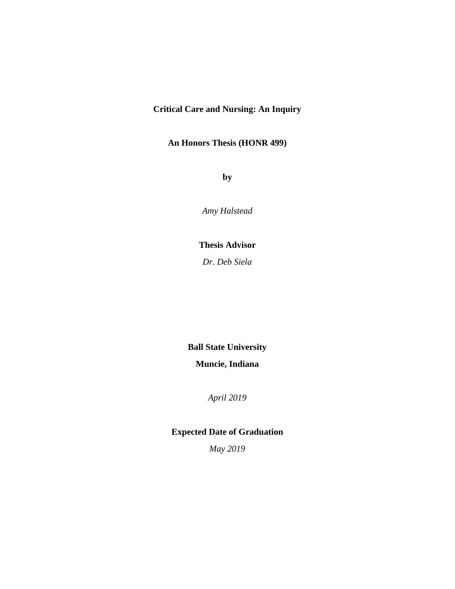### **Critical Care and Nursing: An Inquiry**

### **An Honors Thesis (HONR 499)**

**by**

*Amy Halstead*

### **Thesis Advisor**

*Dr. Deb Siela*

# **Ball State University**

### **Muncie, Indiana**

*April 2019*

## **Expected Date of Graduation**

*May 2019*